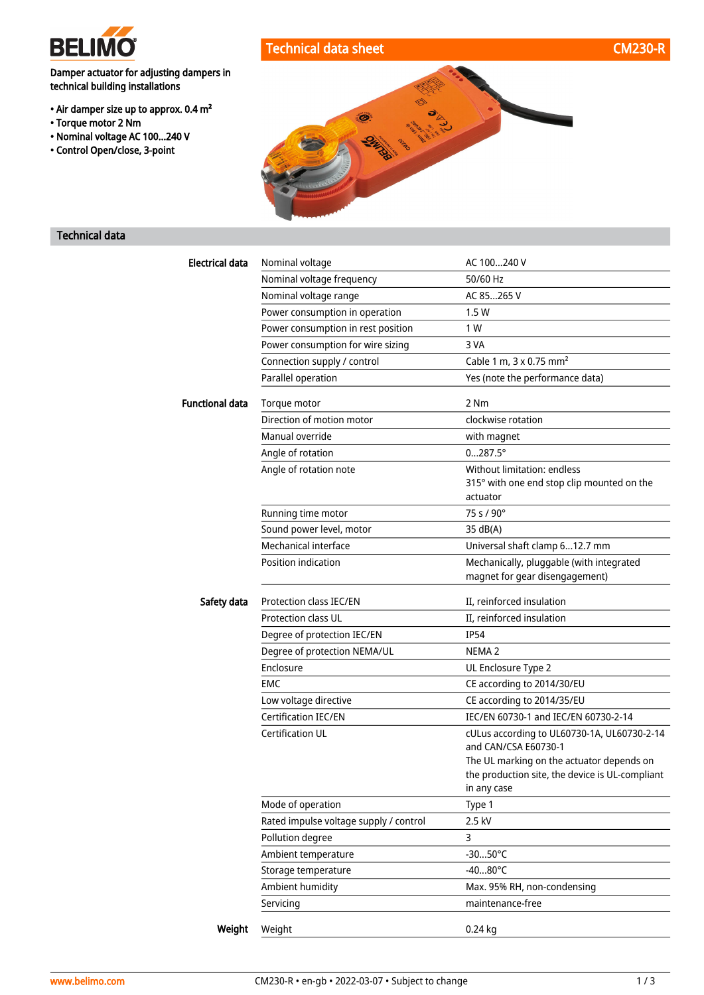

## Technical data sheet CM230-R

Damper actuator for adjusting dampers in technical building installations

- Air damper size up to approx. 0.4 m²
- Torque motor 2 Nm
- Nominal voltage AC 100...240 V
- Control Open/close, 3-point



### Technical data

| <b>Electrical data</b> | Nominal voltage                        | AC 100240 V                                                                |
|------------------------|----------------------------------------|----------------------------------------------------------------------------|
|                        | Nominal voltage frequency              | 50/60 Hz                                                                   |
|                        | Nominal voltage range                  | AC 85265 V                                                                 |
|                        | Power consumption in operation         | 1.5W                                                                       |
|                        | Power consumption in rest position     | 1 W                                                                        |
|                        | Power consumption for wire sizing      | 3 VA                                                                       |
|                        | Connection supply / control            | Cable 1 m, 3 x 0.75 mm <sup>2</sup>                                        |
|                        | Parallel operation                     | Yes (note the performance data)                                            |
| <b>Functional data</b> | Torque motor                           | 2 Nm                                                                       |
|                        | Direction of motion motor              | clockwise rotation                                                         |
|                        | Manual override                        | with magnet                                                                |
|                        | Angle of rotation                      | $0287.5^{\circ}$                                                           |
|                        | Angle of rotation note                 | Without limitation: endless                                                |
|                        |                                        | 315° with one end stop clip mounted on the                                 |
|                        |                                        | actuator                                                                   |
|                        | Running time motor                     | 75 s / 90°                                                                 |
|                        | Sound power level, motor               | 35 dB(A)                                                                   |
|                        | Mechanical interface                   | Universal shaft clamp 612.7 mm                                             |
|                        | Position indication                    | Mechanically, pluggable (with integrated<br>magnet for gear disengagement) |
|                        |                                        |                                                                            |
| Safety data            | Protection class IEC/EN                | II, reinforced insulation                                                  |
|                        | <b>Protection class UL</b>             | II, reinforced insulation                                                  |
|                        | Degree of protection IEC/EN            | <b>IP54</b>                                                                |
|                        | Degree of protection NEMA/UL           | NEMA <sub>2</sub>                                                          |
|                        | Enclosure                              | UL Enclosure Type 2                                                        |
|                        | <b>EMC</b>                             | CE according to 2014/30/EU                                                 |
|                        | Low voltage directive                  | CE according to 2014/35/EU                                                 |
|                        | <b>Certification IEC/EN</b>            | IEC/EN 60730-1 and IEC/EN 60730-2-14                                       |
|                        | <b>Certification UL</b>                | cULus according to UL60730-1A, UL60730-2-14<br>and CAN/CSA E60730-1        |
|                        |                                        | The UL marking on the actuator depends on                                  |
|                        |                                        | the production site, the device is UL-compliant                            |
|                        |                                        | in any case                                                                |
|                        | Mode of operation                      | Type 1                                                                     |
|                        | Rated impulse voltage supply / control | 2.5 kV                                                                     |
|                        | Pollution degree                       | 3                                                                          |
|                        | Ambient temperature                    | $-3050^{\circ}$ C                                                          |
|                        | Storage temperature                    | $-4080^{\circ}$ C                                                          |
|                        | Ambient humidity                       | Max. 95% RH, non-condensing                                                |
|                        | Servicing                              | maintenance-free                                                           |
| Weight                 | Weight                                 | 0.24 kg                                                                    |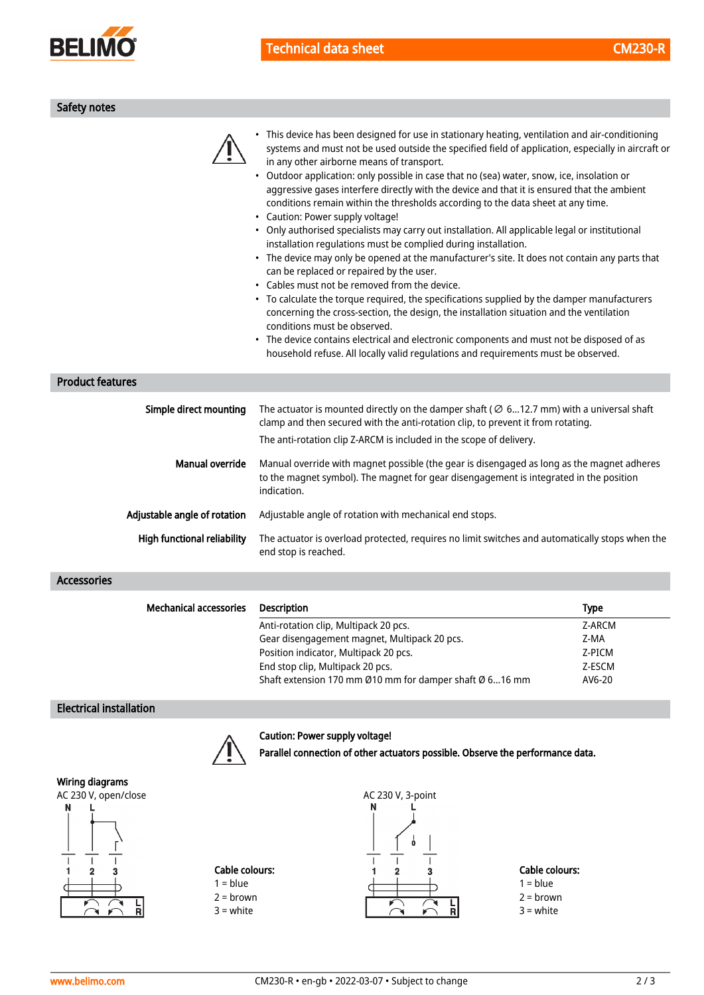

| Safety notes |  |
|--------------|--|
|              |  |

| <b>Product features</b>        | • This device has been designed for use in stationary heating, ventilation and air-conditioning<br>systems and must not be used outside the specified field of application, especially in aircraft or<br>in any other airborne means of transport.<br>• Outdoor application: only possible in case that no (sea) water, snow, ice, insolation or<br>aggressive gases interfere directly with the device and that it is ensured that the ambient<br>conditions remain within the thresholds according to the data sheet at any time.<br>• Caution: Power supply voltage!<br>• Only authorised specialists may carry out installation. All applicable legal or institutional<br>installation regulations must be complied during installation.<br>• The device may only be opened at the manufacturer's site. It does not contain any parts that<br>can be replaced or repaired by the user.<br>• Cables must not be removed from the device.<br>• To calculate the torque required, the specifications supplied by the damper manufacturers<br>concerning the cross-section, the design, the installation situation and the ventilation<br>conditions must be observed.<br>The device contains electrical and electronic components and must not be disposed of as<br>household refuse. All locally valid regulations and requirements must be observed. |             |
|--------------------------------|---------------------------------------------------------------------------------------------------------------------------------------------------------------------------------------------------------------------------------------------------------------------------------------------------------------------------------------------------------------------------------------------------------------------------------------------------------------------------------------------------------------------------------------------------------------------------------------------------------------------------------------------------------------------------------------------------------------------------------------------------------------------------------------------------------------------------------------------------------------------------------------------------------------------------------------------------------------------------------------------------------------------------------------------------------------------------------------------------------------------------------------------------------------------------------------------------------------------------------------------------------------------------------------------------------------------------------------------------------|-------------|
| Simple direct mounting         |                                                                                                                                                                                                                                                                                                                                                                                                                                                                                                                                                                                                                                                                                                                                                                                                                                                                                                                                                                                                                                                                                                                                                                                                                                                                                                                                                         |             |
|                                | The actuator is mounted directly on the damper shaft ( $\varnothing$ 612.7 mm) with a universal shaft<br>clamp and then secured with the anti-rotation clip, to prevent it from rotating.                                                                                                                                                                                                                                                                                                                                                                                                                                                                                                                                                                                                                                                                                                                                                                                                                                                                                                                                                                                                                                                                                                                                                               |             |
|                                | The anti-rotation clip Z-ARCM is included in the scope of delivery.                                                                                                                                                                                                                                                                                                                                                                                                                                                                                                                                                                                                                                                                                                                                                                                                                                                                                                                                                                                                                                                                                                                                                                                                                                                                                     |             |
| <b>Manual override</b>         | Manual override with magnet possible (the gear is disengaged as long as the magnet adheres<br>to the magnet symbol). The magnet for gear disengagement is integrated in the position<br>indication.                                                                                                                                                                                                                                                                                                                                                                                                                                                                                                                                                                                                                                                                                                                                                                                                                                                                                                                                                                                                                                                                                                                                                     |             |
| Adjustable angle of rotation   | Adjustable angle of rotation with mechanical end stops.                                                                                                                                                                                                                                                                                                                                                                                                                                                                                                                                                                                                                                                                                                                                                                                                                                                                                                                                                                                                                                                                                                                                                                                                                                                                                                 |             |
| High functional reliability    | The actuator is overload protected, requires no limit switches and automatically stops when the<br>end stop is reached.                                                                                                                                                                                                                                                                                                                                                                                                                                                                                                                                                                                                                                                                                                                                                                                                                                                                                                                                                                                                                                                                                                                                                                                                                                 |             |
| <b>Accessories</b>             |                                                                                                                                                                                                                                                                                                                                                                                                                                                                                                                                                                                                                                                                                                                                                                                                                                                                                                                                                                                                                                                                                                                                                                                                                                                                                                                                                         |             |
| <b>Mechanical accessories</b>  | <b>Description</b>                                                                                                                                                                                                                                                                                                                                                                                                                                                                                                                                                                                                                                                                                                                                                                                                                                                                                                                                                                                                                                                                                                                                                                                                                                                                                                                                      | <b>Type</b> |
|                                | Anti-rotation clip, Multipack 20 pcs.                                                                                                                                                                                                                                                                                                                                                                                                                                                                                                                                                                                                                                                                                                                                                                                                                                                                                                                                                                                                                                                                                                                                                                                                                                                                                                                   | Z-ARCM      |
|                                | Gear disengagement magnet, Multipack 20 pcs.                                                                                                                                                                                                                                                                                                                                                                                                                                                                                                                                                                                                                                                                                                                                                                                                                                                                                                                                                                                                                                                                                                                                                                                                                                                                                                            | Z-MA        |
|                                | Position indicator, Multipack 20 pcs.                                                                                                                                                                                                                                                                                                                                                                                                                                                                                                                                                                                                                                                                                                                                                                                                                                                                                                                                                                                                                                                                                                                                                                                                                                                                                                                   | Z-PICM      |
|                                | End stop clip, Multipack 20 pcs.                                                                                                                                                                                                                                                                                                                                                                                                                                                                                                                                                                                                                                                                                                                                                                                                                                                                                                                                                                                                                                                                                                                                                                                                                                                                                                                        | Z-ESCM      |
|                                | Shaft extension 170 mm Ø10 mm for damper shaft Ø 616 mm                                                                                                                                                                                                                                                                                                                                                                                                                                                                                                                                                                                                                                                                                                                                                                                                                                                                                                                                                                                                                                                                                                                                                                                                                                                                                                 | AV6-20      |
| <b>Electrical installation</b> |                                                                                                                                                                                                                                                                                                                                                                                                                                                                                                                                                                                                                                                                                                                                                                                                                                                                                                                                                                                                                                                                                                                                                                                                                                                                                                                                                         |             |



### Caution: Power supply voltage!

Parallel connection of other actuators possible. Observe the performance data.